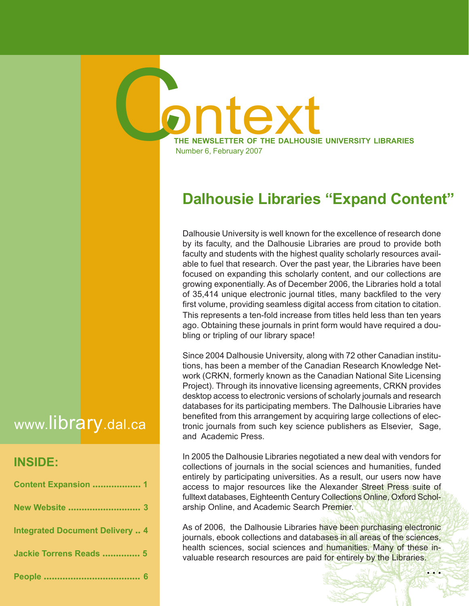# Dalhousie Libraries "Expand Content"

THE NEWSLETTER OF THE DALHOUSIE UNIVERSITY LIBRARIES

Number 6, February 2007

C

Dalhousie University is well known for the excellence of research done by its faculty, and the Dalhousie Libraries are proud to provide both faculty and students with the highest quality scholarly resources available to fuel that research. Over the past year, the Libraries have been focused on expanding this scholarly content, and our collections are growing exponentially. As of December 2006, the Libraries hold a total of 35,414 unique electronic journal titles, many backfiled to the very first volume, providing seamless digital access from citation to citation. This represents a ten-fold increase from titles held less than ten years ago. Obtaining these journals in print form would have required a doubling or tripling of our library space!

Since 2004 Dalhousie University, along with 72 other Canadian institutions, has been a member of the Canadian Research Knowledge Network (CRKN, formerly known as the Canadian National Site Licensing Project). Through its innovative licensing agreements, CRKN provides desktop access to electronic versions of scholarly journals and research databases for its participating members. The Dalhousie Libraries have benefited from this arrangement by acquiring large collections of electronic journals from such key science publishers as Elsevier, Sage, and Academic Press.

In 2005 the Dalhousie Libraries negotiated a new deal with vendors for collections of journals in the social sciences and humanities, funded entirely by participating universities. As a result, our users now have access to major resources like the Alexander Street Press suite of fulltext databases, Eighteenth Century Collections Online, Oxford Scholarship Online, and Academic Search Premier.

As of 2006, the Dalhousie Libraries have been purchasing electronic journals, ebook collections and databases in all areas of the sciences, health sciences, social sciences and humanities. Many of these invaluable research resources are paid for entirely by the Libraries.

# www.library.dal.ca

### INSIDE:

| <b>Content Expansion  1</b>            |  |
|----------------------------------------|--|
|                                        |  |
| <b>Integrated Document Delivery  4</b> |  |
| Jackie Torrens Reads  5                |  |
|                                        |  |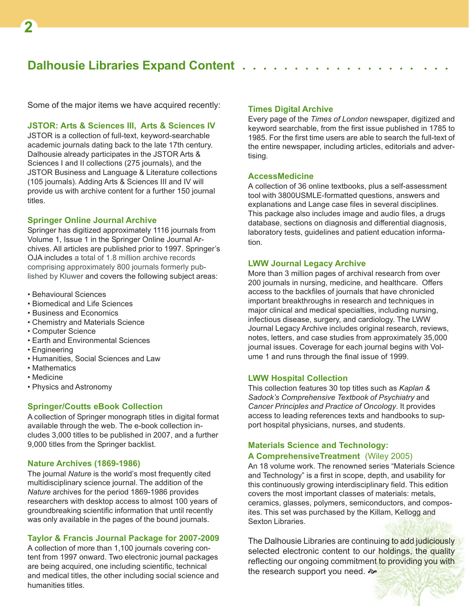### Dalhousie Libraries Expand Content.

Some of the major items we have acquired recently:

#### JSTOR: Arts & Sciences III, Arts & Sciences IV

JSTOR is a collection of full-text, keyword-searchable academic journals dating back to the late 17th century. Dalhousie already participates in the JSTOR Arts & Sciences I and II collections (275 journals), and the JSTOR Business and Language & Literature collections (105 journals). Adding Arts & Sciences III and IV will provide us with archive content for a further 150 journal titles.

#### Springer Online Journal Archive

Springer has digitized approximately 1116 journals from Volume 1, Issue 1 in the Springer Online Journal Archives. All articles are published prior to 1997. Springer's OJA includes a total of 1.8 million archive records comprising approximately 800 journals formerly published by Kluwer and covers the following subject areas:

- Behavioural Sciences
- Biomedical and Life Sciences
- Business and Economics
- Chemistry and Materials Science
- Computer Science
- Earth and Environmental Sciences
- Engineering
- Humanities, Social Sciences and Law
- Mathematics
- Medicine
- Physics and Astronomy

#### Springer/Coutts eBook Collection

A collection of Springer monograph titles in digital format available through the web. The e-book collection includes 3,000 titles to be published in 2007, and a further 9,000 titles from the Springer backlist.

#### Nature Archives (1869-1986)

The journal Nature is the world's most frequently cited multidisciplinary science journal. The addition of the Nature archives for the period 1869-1986 provides researchers with desktop access to almost 100 years of groundbreaking scientific information that until recently was only available in the pages of the bound journals.

#### Taylor & Francis Journal Package for 2007-2009

A collection of more than 1,100 journals covering content from 1997 onward. Two electronic journal packages are being acquired, one including scientific, technical and medical titles, the other including social science and humanities titles.

#### Times Digital Archive

Every page of the Times of London newspaper, digitized and keyword searchable, from the first issue published in 1785 to 1985. For the first time users are able to search the full-text of the entire newspaper, including articles, editorials and advertising.

#### **AccessMedicine**

A collection of 36 online textbooks, plus a self-assessment tool with 3800USMLE-formatted questions, answers and explanations and Lange case files in several disciplines. This package also includes image and audio files, a drugs database, sections on diagnosis and differential diagnosis, laboratory tests, guidelines and patient education information.

#### LWW Journal Legacy Archive

More than 3 million pages of archival research from over 200 journals in nursing, medicine, and healthcare. Offers access to the backfiles of journals that have chronicled important breakthroughs in research and techniques in major clinical and medical specialties, including nursing, infectious disease, surgery, and cardiology. The LWW Journal Legacy Archive includes original research, reviews, notes, letters, and case studies from approximately 35,000 journal issues. Coverage for each journal begins with Volume 1 and runs through the final issue of 1999.

#### LWW Hospital Collection

This collection features 30 top titles such as Kaplan & Sadock's Comprehensive Textbook of Psychiatry and Cancer Principles and Practice of Oncology. It provides access to leading references texts and handbooks to support hospital physicians, nurses, and students.

#### Materials Science and Technology: A ComprehensiveTreatment (Wiley 2005)

An 18 volume work. The renowned series "Materials Science and Technology" is a first in scope, depth, and usability for this continuously growing interdisciplinary field. This edition covers the most important classes of materials: metals, ceramics, glasses, polymers, semiconductors, and composites. This set was purchased by the Killam, Kellogg and Sexton Libraries.

The Dalhousie Libraries are continuing to add judiciously selected electronic content to our holdings, the quality reflecting our ongoing commitment to providing you with the research support you need.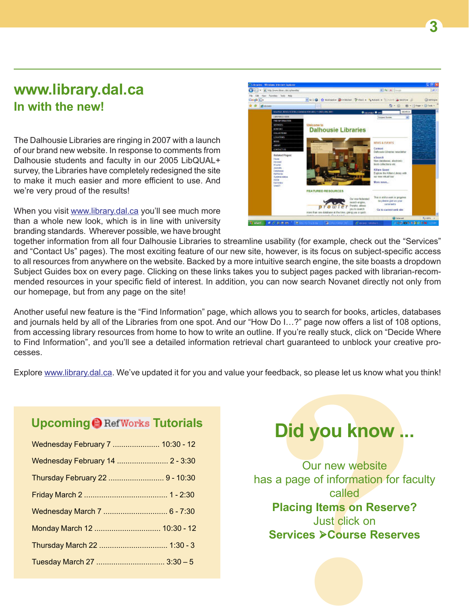# www.library.dal.ca In with the new!

The Dalhousie Libraries are ringing in 2007 with a launch of our brand new website. In response to comments from Dalhousie students and faculty in our 2005 LibQUAL+ survey, the Libraries have completely redesigned the site to make it much easier and more efficient to use. And we're very proud of the results!

When you visit www.library.dal.ca you'll see much more than a whole new look, which is in line with university branding standards. Wherever possible, we have brought



together information from all four Dalhousie Libraries to streamline usability (for example, check out the "Services" and "Contact Us" pages). The most exciting feature of our new site, however, is its focus on subject-specific access to all resources from anywhere on the website. Backed by a more intuitive search engine, the site boasts a dropdown Subject Guides box on every page. Clicking on these links takes you to subject pages packed with librarian-recommended resources in your specific field of interest. In addition, you can now search Novanet directly not only from our homepage, but from any page on the site!

Another useful new feature is the "Find Information" page, which allows you to search for books, articles, databases and journals held by all of the Libraries from one spot. And our "How Do I…?" page now offers a list of 108 options, from accessing library resources from home to how to write an outline. If you're really stuck, click on "Decide Where to Find Information", and you'll see a detailed information retrieval chart guaranteed to unblock your creative processes.

Explore www.library.dal.ca. We've updated it for you and value your feedback, so please let us know what you think!

## Upcoming @ RefWorks Tutorials

| Wednesday February 7  10:30 - 12 |  |
|----------------------------------|--|
| Wednesday February 14  2 - 3:30  |  |
| Thursday February 22  9 - 10:30  |  |
|                                  |  |
|                                  |  |
| Monday March 12  10:30 - 12      |  |
|                                  |  |
|                                  |  |

# Did you know ...

We you to search for books, articles, datat<br>
Do I...?" page now offers a list of 108 op<br>
e. If you're really stuck, click on "Decide V<br>
thart guaranteed to unblock your creative<br>
eedback, so please let us know what you<br>
ee Our new website has a page of information for faculty called Placing Items on Reserve? Just click on **Services ≻Course Reserves**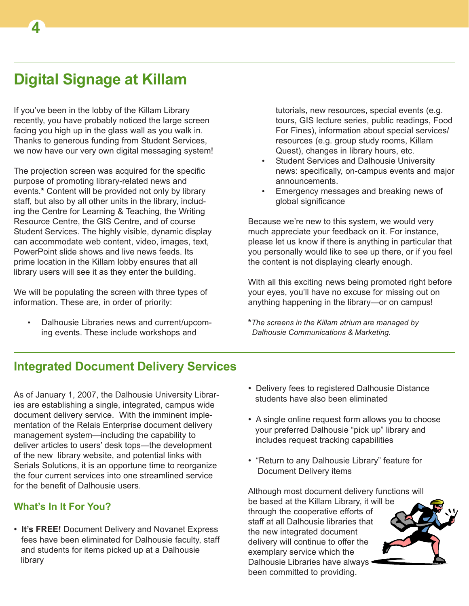# Digital Signage at Killam

4

If you've been in the lobby of the Killam Library recently, you have probably noticed the large screen facing you high up in the glass wall as you walk in. Thanks to generous funding from Student Services, we now have our very own digital messaging system!

The projection screen was acquired for the specific purpose of promoting library-related news and events.\* Content will be provided not only by library staff, but also by all other units in the library, including the Centre for Learning & Teaching, the Writing Resource Centre, the GIS Centre, and of course Student Services. The highly visible, dynamic display can accommodate web content, video, images, text, PowerPoint slide shows and live news feeds. Its prime location in the Killam lobby ensures that all library users will see it as they enter the building.

We will be populating the screen with three types of information. These are, in order of priority:

• Dalhousie Libraries news and current/upcoming events. These include workshops and

tutorials, new resources, special events (e.g. tours, GIS lecture series, public readings, Food For Fines), information about special services/ resources (e.g. group study rooms, Killam Quest), changes in library hours, etc.

- Student Services and Dalhousie University news: specifically, on-campus events and major announcements.
- Emergency messages and breaking news of global significance

Because we're new to this system, we would very much appreciate your feedback on it. For instance, please let us know if there is anything in particular that you personally would like to see up there, or if you feel the content is not displaying clearly enough.

With all this exciting news being promoted right before your eyes, you'll have no excuse for missing out on anything happening in the library—or on campus!

\*The screens in the Killam atrium are managed by Dalhousie Communications & Marketing.

## Integrated Document Delivery Services

As of January 1, 2007, the Dalhousie University Libraries are establishing a single, integrated, campus wide document delivery service. With the imminent implementation of the Relais Enterprise document delivery management system—including the capability to deliver articles to users' desk tops—the development of the new library website, and potential links with Serials Solutions, it is an opportune time to reorganize the four current services into one streamlined service for the benefit of Dalhousie users.

#### What's In It For You?

• It's FREE! Document Delivery and Novanet Express fees have been eliminated for Dalhousie faculty, staff and students for items picked up at a Dalhousie library

- Delivery fees to registered Dalhousie Distance students have also been eliminated
- A single online request form allows you to choose your preferred Dalhousie "pick up" library and includes request tracking capabilities
- "Return to any Dalhousie Library" feature for Document Delivery items

Although most document delivery functions will be based at the Killam Library, it will be through the cooperative efforts of staff at all Dalhousie libraries that the new integrated document delivery will continue to offer the exemplary service which the Dalhousie Libraries have always · been committed to providing.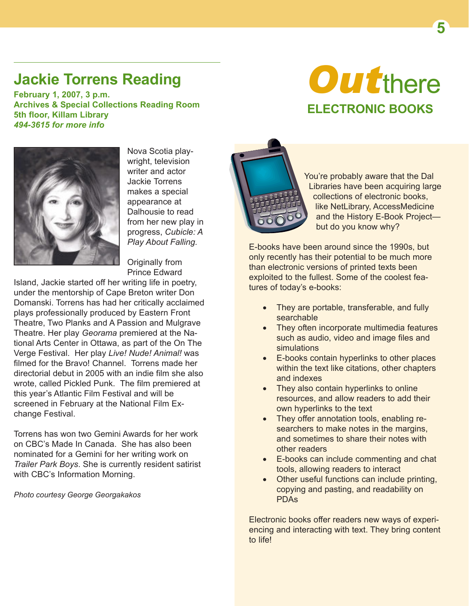# Jackie Torrens Reading

February 1, 2007, 3 p.m. Archives & Special Collections Reading Room 5th floor, Killam Library 494-3615 for more info

# **Outthere** ELECTRONIC BOOKS



Nova Scotia playwright, television writer and actor Jackie Torrens makes a special appearance at Dalhousie to read from her new play in progress, Cubicle: A Play About Falling.

Originally from Prince Edward

Island, Jackie started off her writing life in poetry, under the mentorship of Cape Breton writer Don Domanski. Torrens has had her critically acclaimed plays professionally produced by Eastern Front Theatre, Two Planks and A Passion and Mulgrave Theatre. Her play Georama premiered at the National Arts Center in Ottawa, as part of the On The Verge Festival. Her play Live! Nude! Animal! was filmed for the Bravo! Channel. Torrens made her directorial debut in 2005 with an indie film she also wrote, called Pickled Punk. The film premiered at this year's Atlantic Film Festival and will be screened in February at the National Film Exchange Festival.

Torrens has won two Gemini Awards for her work on CBC's Made In Canada. She has also been nominated for a Gemini for her writing work on Trailer Park Boys. She is currently resident satirist with CBC's Information Morning.

Photo courtesy George Georgakakos



You're probably aware that the Dal Libraries have been acquiring large collections of electronic books, like NetLibrary, AccessMedicine and the History E-Book Project but do you know why?

E-books have been around since the 1990s, but only recently has their potential to be much more than electronic versions of printed texts been exploited to the fullest. Some of the coolest features of today's e-books:

- They are portable, transferable, and fully searchable
- They often incorporate multimedia features such as audio, video and image files and simulations
- E-books contain hyperlinks to other places within the text like citations, other chapters and indexes
- They also contain hyperlinks to online resources, and allow readers to add their own hyperlinks to the text
- They offer annotation tools, enabling researchers to make notes in the margins. and sometimes to share their notes with other readers
- E-books can include commenting and chat tools, allowing readers to interact
- Other useful functions can include printing, copying and pasting, and readability on PDAs

Electronic books offer readers new ways of experiencing and interacting with text. They bring content to life!